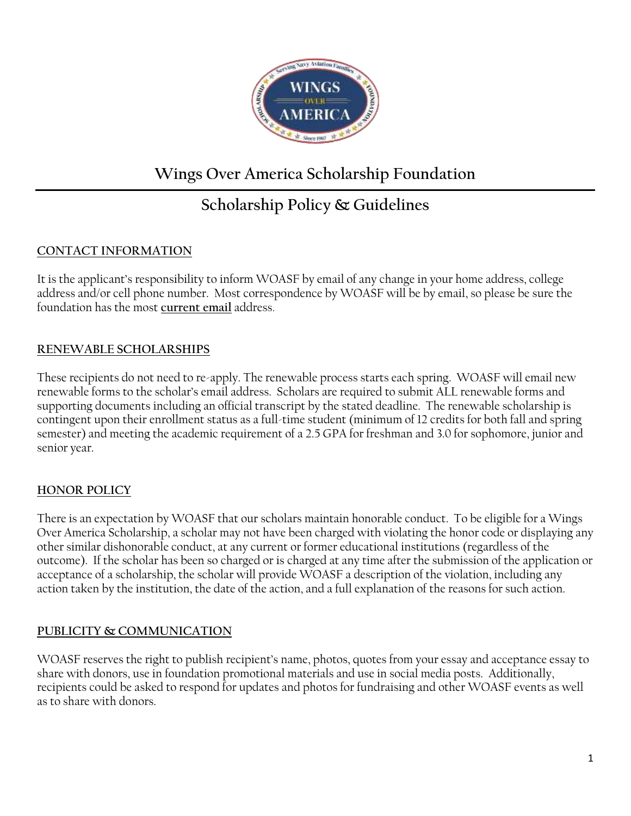

# **Wings Over America Scholarship Foundation**

# **Scholarship Policy & Guidelines**

### **CONTACT INFORMATION**

It is the applicant's responsibility to inform WOASF by email of any change in your home address, college address and/or cell phone number. Most correspondence by WOASF will be by email, so please be sure the foundation has the most **current email** address.

## **RENEWABLE SCHOLARSHIPS**

These recipients do not need to re-apply. The renewable process starts each spring. WOASF will email new renewable forms to the scholar's email address. Scholars are required to submit ALL renewable forms and supporting documents including an official transcript by the stated deadline. The renewable scholarship is contingent upon their enrollment status as a full-time student (minimum of 12 credits for both fall and spring semester) and meeting the academic requirement of a 2.5 GPA for freshman and 3.0 for sophomore, junior and senior year.

## **HONOR POLICY**

There is an expectation by WOASF that our scholars maintain honorable conduct. To be eligible for a Wings Over America Scholarship, a scholar may not have been charged with violating the honor code or displaying any other similar dishonorable conduct, at any current or former educational institutions (regardless of the outcome). If the scholar has been so charged or is charged at any time after the submission of the application or acceptance of a scholarship, the scholar will provide WOASF a description of the violation, including any action taken by the institution, the date of the action, and a full explanation of the reasons for such action.

### **PUBLICITY & COMMUNICATION**

WOASF reserves the right to publish recipient's name, photos, quotes from your essay and acceptance essay to share with donors, use in foundation promotional materials and use in social media posts. Additionally, recipients could be asked to respond for updates and photos for fundraising and other WOASF events as well as to share with donors.